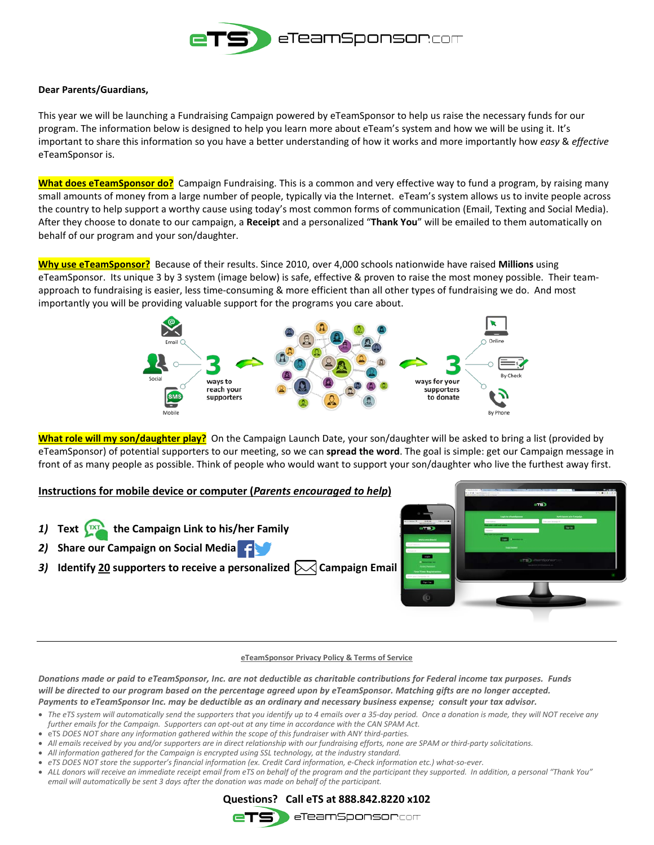

### **Dear Parents/Guardians,**

This year we will be launching a Fundraising Campaign powered by eTeamSponsor to help us raise the necessary funds for our program. The information below is designed to help you learn more about eTeam's system and how we will be using it. It's important to share this information so you have a better understanding of how it works and more importantly how *easy* & *effective* eTeamSponsor is.

**What does eTeamSponsor do?** Campaign Fundraising. This is a common and very effective way to fund a program, by raising many small amounts of money from a large number of people, typically via the Internet. eTeam's system allows us to invite people across the country to help support a worthy cause using today's most common forms of communication (Email, Texting and Social Media). After they choose to donate to our campaign, a **Receipt** and a personalized "**Thank You**" will be emailed to them automatically on behalf of our program and your son/daughter.

**Why use eTeamSponsor?** Because of their results. Since 2010, over 4,000 schools nationwide have raised **Millions** using eTeamSponsor. Its unique 3 by 3 system (image below) is safe, effective & proven to raise the most money possible. Their teamapproach to fundraising is easier, less time-consuming & more efficient than all other types of fundraising we do. And most importantly you will be providing valuable support for the programs you care about.



**What role will my son/daughter play?** On the Campaign Launch Date, your son/daughter will be asked to bring a list (provided by eTeamSponsor) of potential supporters to our meeting, so we can **spread the word**. The goal is simple: get our Campaign message in front of as many people as possible. Think of people who would want to support your son/daughter who live the furthest away first.

### **Instructions for mobile device or computer (***Parents encouraged to help***)**

- 1) Text  $\int_{0}^{\frac{\pi}{2}}$  the Campaign Link to his/her Family
- *2)* **Share our Campaign on Social Media**
- 3) **Identify 20** supporters to receive a personalized  $\triangleright\!\!\!\triangleleft$  Campaign Email



#### **eTeamSponsor Privacy Policy & Terms of Service**

*Donations made or paid to eTeamSponsor, Inc. are not deductible as charitable contributions for Federal income tax purposes. Funds will be directed to our program based on the percentage agreed upon by eTeamSponsor. Matching gifts are no longer accepted. Payments to eTeamSponsor Inc. may be deductible as an ordinary and necessary business expense; consult your tax advisor.*

- The eTS system will automatically send the supporters that you identify up to 4 emails over a 35-day period. Once a donation is made, they will NOT receive any *further emails for the Campaign. Supporters can opt-out at any time in accordance with the CAN SPAM Act.*
- eTS *DOES NOT share any information gathered within the scope of this fundraiser with ANY third-parties.*
- *All emails received by you and/or supporters are in direct relationship with our fundraising efforts, none are SPAM or third-party solicitations.*
- *All information gathered for the Campaign is encrypted using SSL technology, at the industry standard.*
- *eTS DOES NOT store the supporter's financial information (ex. Credit Card information, e-Check information etc.) what-so-ever.*
- *ALL donors will receive an immediate receipt email from eTS on behalf of the program and the participant they supported. In addition, a personal "Thank You" email will automatically be sent 3 days after the donation was made on behalf of the participant.*